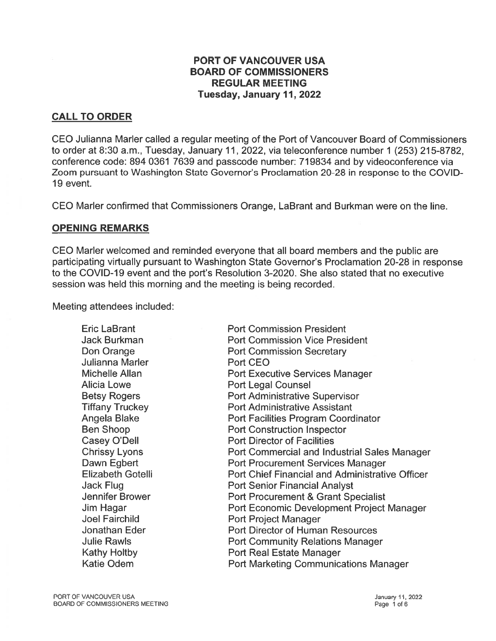## PORT OF VANCOUVER USA BOARD OF COMMISSIONERS REGULAR MEETING Tuesday, January 11,2022

# CALL TO ORDER

CEO Julianna Marler called <sup>a</sup> regular meeting of the Port of Vancouver Board of Commissioners to order at 8:30 a.m., Tuesday, January II, 2022, via teleconference number 1 (253) 215-8782, conference code: 894 0361 7639 and passcode number: 719834 and by videoconference via Zoom pursuan<sup>t</sup> to Washington State Governor's Proclamation 20-28 in response to the COVID 19 event.

CEO Marler confirmed that Commissioners Orange, LaBrant and Burkman were on the line.

## OPENING REMARKS

CEO Marler welcomed and reminded everyone that all board members and the public are participating virtually pursuan<sup>t</sup> to Washington State Governor's Proclamation 20-28 in response to the COVID-19 event and the port's Resolution 3-2020. She also stated that no executive session was held this morning and the meeting is being recorded.

Meeting attendees included:

| Eric LaBrant           | <b>Port Commission President</b>                       |
|------------------------|--------------------------------------------------------|
| Jack Burkman           | <b>Port Commission Vice President</b>                  |
| Don Orange             | <b>Port Commission Secretary</b>                       |
| Julianna Marler        | Port CEO                                               |
| Michelle Allan         | <b>Port Executive Services Manager</b>                 |
| Alicia Lowe            | Port Legal Counsel                                     |
| Betsy Rogers           | <b>Port Administrative Supervisor</b>                  |
| <b>Tiffany Truckey</b> | <b>Port Administrative Assistant</b>                   |
| Angela Blake           | <b>Port Facilities Program Coordinator</b>             |
| Ben Shoop              | <b>Port Construction Inspector</b>                     |
| Casey O'Dell           | <b>Port Director of Facilities</b>                     |
| <b>Chrissy Lyons</b>   | Port Commercial and Industrial Sales Manager           |
| Dawn Egbert            | <b>Port Procurement Services Manager</b>               |
| Elizabeth Gotelli      | <b>Port Chief Financial and Administrative Officer</b> |
| Jack Flug              | <b>Port Senior Financial Analyst</b>                   |
| Jennifer Brower        | <b>Port Procurement &amp; Grant Specialist</b>         |
| Jim Hagar              | Port Economic Development Project Manager              |
| Joel Fairchild         | <b>Port Project Manager</b>                            |
| Jonathan Eder          | <b>Port Director of Human Resources</b>                |
| Julie Rawls            | <b>Port Community Relations Manager</b>                |
| Kathy Holtby           | Port Real Estate Manager                               |
| Katie Odem             | <b>Port Marketing Communications Manager</b>           |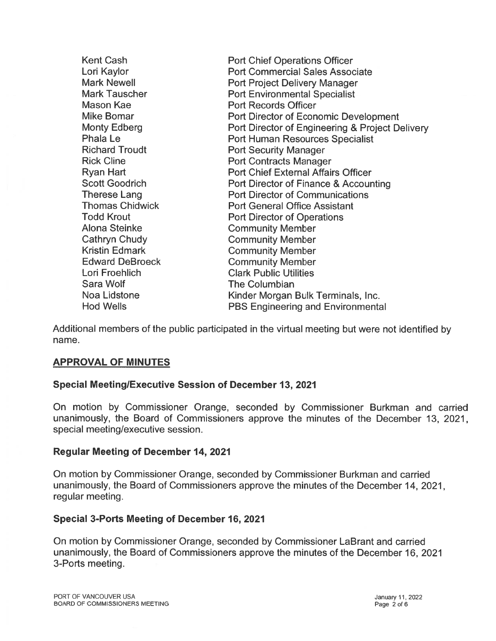| <b>Kent Cash</b>       | <b>Port Chief Operations Officer</b>            |
|------------------------|-------------------------------------------------|
| Lori Kaylor            | <b>Port Commercial Sales Associate</b>          |
| <b>Mark Newell</b>     | <b>Port Project Delivery Manager</b>            |
| <b>Mark Tauscher</b>   | <b>Port Environmental Specialist</b>            |
| Mason Kae              | <b>Port Records Officer</b>                     |
| <b>Mike Bomar</b>      | <b>Port Director of Economic Development</b>    |
| <b>Monty Edberg</b>    | Port Director of Engineering & Project Delivery |
| Phala Le               | <b>Port Human Resources Specialist</b>          |
| <b>Richard Troudt</b>  | <b>Port Security Manager</b>                    |
| <b>Rick Cline</b>      | <b>Port Contracts Manager</b>                   |
| <b>Ryan Hart</b>       | <b>Port Chief External Affairs Officer</b>      |
| <b>Scott Goodrich</b>  | Port Director of Finance & Accounting           |
| <b>Therese Lang</b>    | <b>Port Director of Communications</b>          |
| <b>Thomas Chidwick</b> | <b>Port General Office Assistant</b>            |
| <b>Todd Krout</b>      | <b>Port Director of Operations</b>              |
| <b>Alona Steinke</b>   | <b>Community Member</b>                         |
| <b>Cathryn Chudy</b>   | <b>Community Member</b>                         |
| <b>Kristin Edmark</b>  | <b>Community Member</b>                         |
| <b>Edward DeBroeck</b> | <b>Community Member</b>                         |
| Lori Froehlich         | <b>Clark Public Utilities</b>                   |
| Sara Wolf              | <b>The Columbian</b>                            |
| Noa Lidstone           | Kinder Morgan Bulk Terminals, Inc.              |
| <b>Hod Wells</b>       | <b>PBS Engineering and Environmental</b>        |

Additional members of the public participated in the virtual meeting but were not identified by name.

## APPROVAL OF MINUTES

## Special MeetinglExecutive Session of December 13, 2021

On motion by Commissioner Orange, seconded by Commissioner Burkman and carried unanimously, the Board of Commissioners approve the minutes of the December 13, 2021, special meeting/executive session.

#### Regular Meeting of December 14, 2021

On motion by Commissioner Orange, seconded by Commissioner Burkman and carried unanimously, the Board of Commissioners approve the minutes of the December 14, 2021, regular meeting.

#### Special 3-Ports Meeting of December 16, 2021

On motion by Commissioner Orange, seconded by Commissioner LaBrant and carried unanimously, the Board of Commissioners approve the minutes of the December 16, 2021 3-Ports meeting.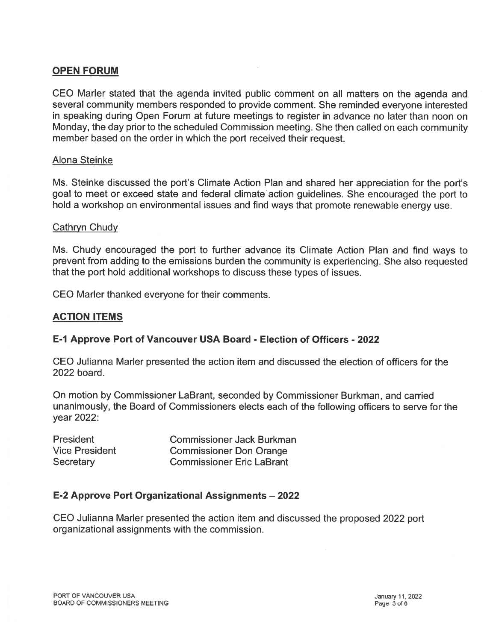## OPEN FORUM

CEO Marler stated that the agenda invited public comment on all matters on the agenda and several community members responded to provide comment. She reminded everyone interested in speaking during Open Forum at future meetings to register in advance no later than noon on Monday, the day prior to the scheduled Commission meeting. She then called on each community member based on the order in which the por<sup>t</sup> received their request.

#### Alona Steinke

Ms. Steinke discussed the port's Climate Action Plan and shared her appreciation for the port's goal to meet or exceed state and federal climate action guidelines. She encouraged the port to hold <sup>a</sup> workshop on environmental issues and find ways that promote renewable energy use.

#### Cathryn Chudy

Ms. Chudy encouraged the por<sup>t</sup> to further advance its Climate Action Plan and find ways to preven<sup>t</sup> from adding to the emissions burden the community is experiencing. She also requested that the por<sup>t</sup> hold additional workshops to discuss these types of issues.

CEO Marler thanked everyone for their comments.

## ACTION ITEMS

## E-1 Approve Port of Vancouver USA Board - Election of Officers - 2022

CEO Julianna Marler presented the action item and discussed the election of officers for the 2022 board.

On motion by Commissioner LaBrant, seconded by Commissioner Burkman, and carried unanimously, the Board of Commissioners elects each of the following officers to serve for the year 2022:

| <b>President</b>      | <b>Commissioner Jack Burkman</b> |
|-----------------------|----------------------------------|
| <b>Vice President</b> | <b>Commissioner Don Orange</b>   |
| Secretary             | <b>Commissioner Eric LaBrant</b> |

## E-2 Approve Port Organizational Assignments — 2022

CEO Julianna Marler presented the action item and discussed the proposed 2022 por<sup>t</sup> organizational assignments with the commission.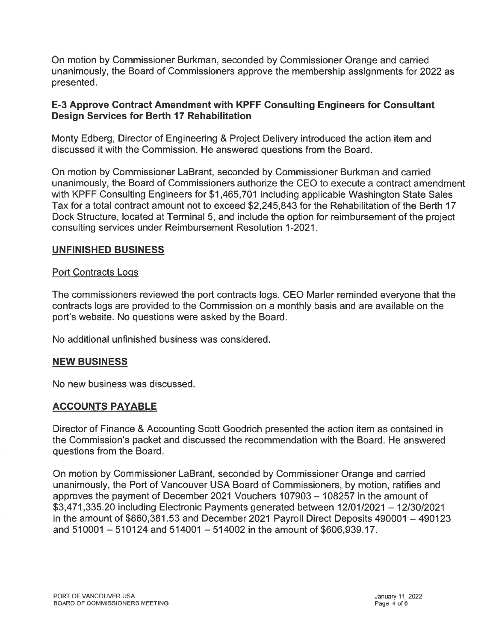On motion by Commissioner Burkman, seconded by Commissioner Orange and carried unanimously, the Board of Commissioners approve the membership assignments for 2022 as presented.

## E-3 Approve Contract Amendment with KPFF Consulting Engineers for Consultant Design Services for Berth 17 Rehabilitation

Monty Edberg, Director of Engineering & Project Delivery introduced the action item and discussed it with the Commission. He answered questions from the Board.

On motion by Commissioner LaBrant, seconded by Commissioner Burkman and carried unanimously, the Board of Commissioners authorize the CEO to execute <sup>a</sup> contract amendment with KPFF Consulting Engineers for \$1,465,701 including applicable Washington State Sales Tax for <sup>a</sup> total contract amount not to exceed \$2,245,843 for the Rehabilitation of the Berth 17 Dock Structure, located at Terminal 5, and include the option for reimbursement of the project consulting services under Reimbursement Resolution 1-2021.

## UNFINISHED BUSINESS

#### Port Contracts Logs

The commissioners reviewed the por<sup>t</sup> contracts logs. CEO Marler reminded everyone that the contracts logs are provided to the Commission on <sup>a</sup> monthly basis and are available on the port's website. No questions were asked by the Board.

No additional unfinished business was considered.

#### NEW BUSINESS

No new business was discussed.

#### ACCOUNTS PAYABLE

Director of Finance & Accounting Scott Goodrich presented the action item as contained in the Commission's packet and discussed the recommendation with the Board. He answered questions from the Board.

On motion by Commissioner LaBrant, seconded by Commissioner Orange and carried unanimously, the Port of Vancouver USA Board of Commissioners, by motion, ratifies and approves the paymen<sup>t</sup> of December 2021 Vouchers 107903— 108257 in the amount of \$3,471,335.20 including Electronic Payments generated between 12/01/2021 — 12/30/2021 in the amount of \$860,381.53 and December 2021 Payroll Direct Deposits 490001 —490123 and 510001 —510124 and 514001 —514002 in the amount of \$606,939.17.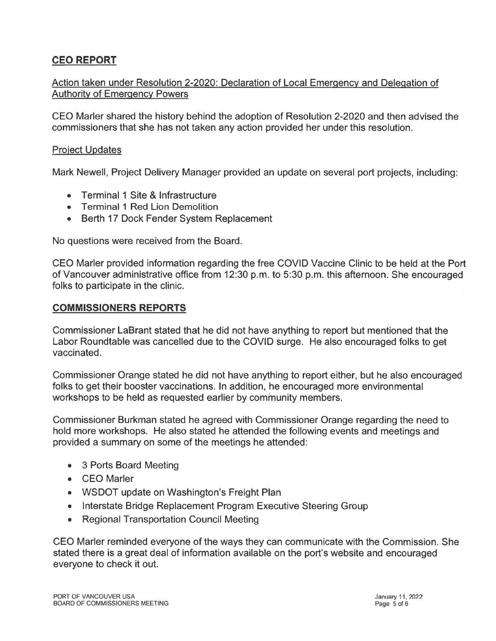# CEO REPORT

## Action taken under Resolution 2-2020: Declaration of Local Emergency and Delegation of Authority of Emergency Powers

CEO Marler shared the history behind the adoption of Resolution 2-2020 and then advised the commissioners that she has not taken any action provided her under this resolution.

### Proiect Updates

Mark Newell, Project Delivery Manager provided an update on several por<sup>t</sup> projects, including:

- •Terminal 1 Site & Infrastructure
- Terminal 1 Red Lion Demolition
- Berth 17 Dock Fender System Replacement

No questions were received from the Board.

CEO Marler provided information regarding the free COVID Vaccine Clinic to be held at the Port of Vancouver administrative office from 12:30 p.m. to 5:30 p.m. this afternoon. She encouraged folks to participate in the clinic.

### COMMISSIONERS REPORTS

Commissioner LaBrant stated that he did not have anything to report but mentioned that the Labor Roundtable was cancelled due to the COVID surge. He also encouraged folks to ge<sup>t</sup> vaccinated.

Commissioner Orange stated he did not have anything to repor<sup>t</sup> either, but he also encouraged folks to ge<sup>t</sup> their booster vaccinations. In addition, he encouraged more environmental workshops to be held as requested earlier by community members.

Commissioner Burkman stated he agreed with Commissioner Orange regarding the need to hold more workshops. He also stated he attended the following events and meetings and provided <sup>a</sup> summary on some of the meetings he attended:

- 3 Ports Board Meeting
- CEO Marler
- WSDOT update on Washington's Freight Plan
- Interstate Bridge Replacement Program Executive Steering Group
- Regional Transportation Council Meeting

CEO Marler reminded everyone of the ways they can communicate with the Commission. She stated there is <sup>a</sup> grea<sup>t</sup> deal of information available on the port's website and encouraged everyone to check it out.